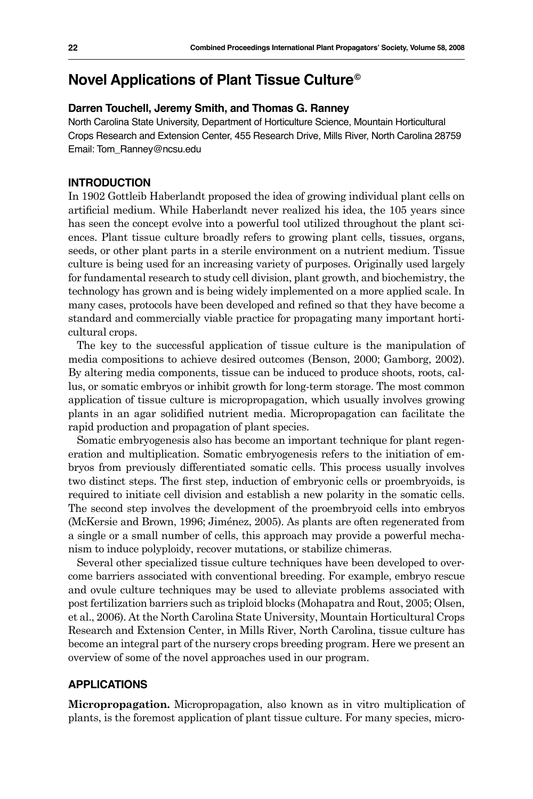# **Novel Applications of Plant Tissue Culture©**

### **Darren Touchell, Jeremy Smith, and Thomas G. Ranney**

North Carolina State University, Department of Horticulture Science, Mountain Horticultural Crops Research and Extension Center, 455 Research Drive, Mills River, North Carolina 28759 Email: Tom\_Ranney@ncsu.edu

### **INTRODUCTION**

In 1902 Gottleib Haberlandt proposed the idea of growing individual plant cells on artificial medium. While Haberlandt never realized his idea, the 105 years since has seen the concept evolve into a powerful tool utilized throughout the plant sciences. Plant tissue culture broadly refers to growing plant cells, tissues, organs, seeds, or other plant parts in a sterile environment on a nutrient medium. Tissue culture is being used for an increasing variety of purposes. Originally used largely for fundamental research to study cell division, plant growth, and biochemistry, the technology has grown and is being widely implemented on a more applied scale. In many cases, protocols have been developed and refined so that they have become a standard and commercially viable practice for propagating many important horticultural crops.

The key to the successful application of tissue culture is the manipulation of media compositions to achieve desired outcomes (Benson, 2000; Gamborg, 2002). By altering media components, tissue can be induced to produce shoots, roots, callus, or somatic embryos or inhibit growth for long-term storage. The most common application of tissue culture is micropropagation, which usually involves growing plants in an agar solidified nutrient media. Micropropagation can facilitate the rapid production and propagation of plant species.

Somatic embryogenesis also has become an important technique for plant regeneration and multiplication. Somatic embryogenesis refers to the initiation of embryos from previously differentiated somatic cells. This process usually involves two distinct steps. The first step, induction of embryonic cells or proembryoids, is required to initiate cell division and establish a new polarity in the somatic cells. The second step involves the development of the proembryoid cells into embryos (McKersie and Brown, 1996; Jiménez, 2005). As plants are often regenerated from a single or a small number of cells, this approach may provide a powerful mechanism to induce polyploidy, recover mutations, or stabilize chimeras.

Several other specialized tissue culture techniques have been developed to overcome barriers associated with conventional breeding. For example, embryo rescue and ovule culture techniques may be used to alleviate problems associated with post fertilization barriers such as triploid blocks (Mohapatra and Rout, 2005; Olsen, et al., 2006). At the North Carolina State University, Mountain Horticultural Crops Research and Extension Center, in Mills River, North Carolina, tissue culture has become an integral part of the nursery crops breeding program. Here we present an overview of some of the novel approaches used in our program.

## **APPLICATIONS**

**Micropropagation.** Micropropagation, also known as in vitro multiplication of plants, is the foremost application of plant tissue culture. For many species, micro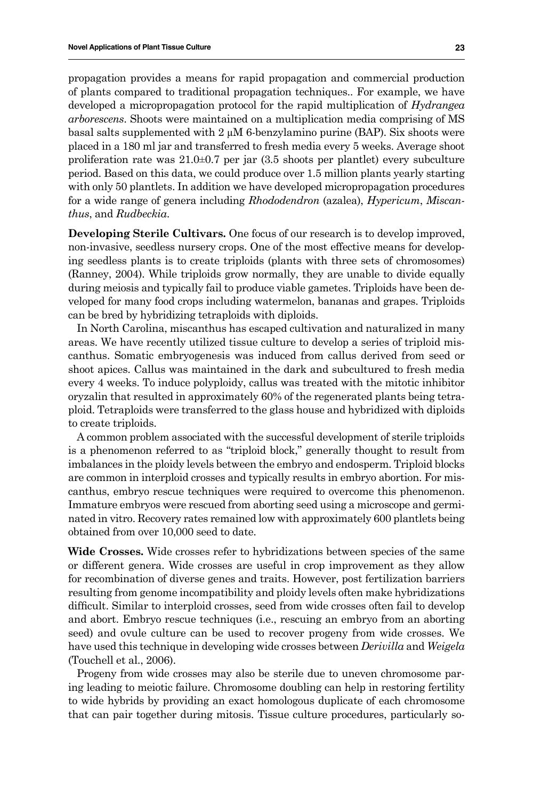propagation provides a means for rapid propagation and commercial production of plants compared to traditional propagation techniques.. For example, we have developed a micropropagation protocol for the rapid multiplication of *Hydrangea arborescens*. Shoots were maintained on a multiplication media comprising of MS basal salts supplemented with 2 μM 6-benzylamino purine (BAP). Six shoots were placed in a 180 ml jar and transferred to fresh media every 5 weeks. Average shoot proliferation rate was 21.0±0.7 per jar (3.5 shoots per plantlet) every subculture period. Based on this data, we could produce over 1.5 million plants yearly starting with only 50 plantlets. In addition we have developed micropropagation procedures for a wide range of genera including *Rhododendron* (azalea), *Hypericum*, *Miscanthus*, and *Rudbeckia*.

**Developing Sterile Cultivars.** One focus of our research is to develop improved, non-invasive, seedless nursery crops. One of the most effective means for developing seedless plants is to create triploids (plants with three sets of chromosomes) (Ranney, 2004). While triploids grow normally, they are unable to divide equally during meiosis and typically fail to produce viable gametes. Triploids have been developed for many food crops including watermelon, bananas and grapes. Triploids can be bred by hybridizing tetraploids with diploids.

In North Carolina, miscanthus has escaped cultivation and naturalized in many areas. We have recently utilized tissue culture to develop a series of triploid miscanthus. Somatic embryogenesis was induced from callus derived from seed or shoot apices. Callus was maintained in the dark and subcultured to fresh media every 4 weeks. To induce polyploidy, callus was treated with the mitotic inhibitor oryzalin that resulted in approximately 60% of the regenerated plants being tetraploid. Tetraploids were transferred to the glass house and hybridized with diploids to create triploids.

A common problem associated with the successful development of sterile triploids is a phenomenon referred to as "triploid block," generally thought to result from imbalances in the ploidy levels between the embryo and endosperm. Triploid blocks are common in interploid crosses and typically results in embryo abortion. For miscanthus, embryo rescue techniques were required to overcome this phenomenon. Immature embryos were rescued from aborting seed using a microscope and germinated in vitro. Recovery rates remained low with approximately 600 plantlets being obtained from over 10,000 seed to date.

**Wide Crosses.** Wide crosses refer to hybridizations between species of the same or different genera. Wide crosses are useful in crop improvement as they allow for recombination of diverse genes and traits. However, post fertilization barriers resulting from genome incompatibility and ploidy levels often make hybridizations difficult. Similar to interploid crosses, seed from wide crosses often fail to develop and abort. Embryo rescue techniques (i.e., rescuing an embryo from an aborting seed) and ovule culture can be used to recover progeny from wide crosses. We have used this technique in developing wide crosses between *Derivilla* and *Weigela* (Touchell et al., 2006).

Progeny from wide crosses may also be sterile due to uneven chromosome paring leading to meiotic failure. Chromosome doubling can help in restoring fertility to wide hybrids by providing an exact homologous duplicate of each chromosome that can pair together during mitosis. Tissue culture procedures, particularly so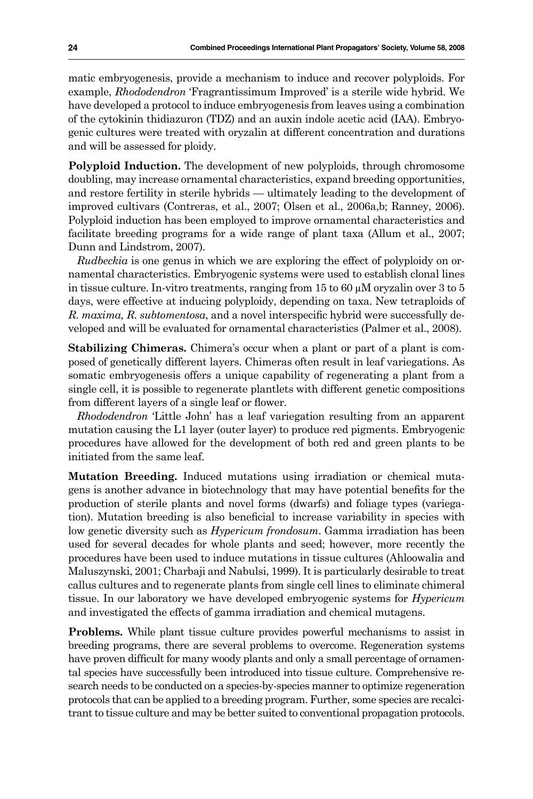matic embryogenesis, provide a mechanism to induce and recover polyploids. For example, *Rhododendron* 'Fragrantissimum Improved' is a sterile wide hybrid. We have developed a protocol to induce embryogenesis from leaves using a combination of the cytokinin thidiazuron (TDZ) and an auxin indole acetic acid (IAA). Embryogenic cultures were treated with oryzalin at different concentration and durations and will be assessed for ploidy.

**Polyploid Induction.** The development of new polyploids, through chromosome doubling, may increase ornamental characteristics, expand breeding opportunities, and restore fertility in sterile hybrids — ultimately leading to the development of improved cultivars (Contreras, et al., 2007; Olsen et al., 2006a,b; Ranney, 2006). Polyploid induction has been employed to improve ornamental characteristics and facilitate breeding programs for a wide range of plant taxa (Allum et al., 2007; Dunn and Lindstrom, 2007).

*Rudbeckia* is one genus in which we are exploring the effect of polyploidy on ornamental characteristics. Embryogenic systems were used to establish clonal lines in tissue culture. In-vitro treatments, ranging from 15 to 60 µM oryzalin over 3 to 5 days, were effective at inducing polyploidy, depending on taxa. New tetraploids of *R. maxima, R. subtomentosa*, and a novel interspecific hybrid were successfully developed and will be evaluated for ornamental characteristics (Palmer et al., 2008).

**Stabilizing Chimeras.** Chimera's occur when a plant or part of a plant is composed of genetically different layers. Chimeras often result in leaf variegations. As somatic embryogenesis offers a unique capability of regenerating a plant from a single cell, it is possible to regenerate plantlets with different genetic compositions from different layers of a single leaf or flower.

*Rhododendron* 'Little John' has a leaf variegation resulting from an apparent mutation causing the L1 layer (outer layer) to produce red pigments. Embryogenic procedures have allowed for the development of both red and green plants to be initiated from the same leaf.

**Mutation Breeding.** Induced mutations using irradiation or chemical mutagens is another advance in biotechnology that may have potential benefits for the production of sterile plants and novel forms (dwarfs) and foliage types (variegation). Mutation breeding is also beneficial to increase variability in species with low genetic diversity such as *Hypericum frondosum*. Gamma irradiation has been used for several decades for whole plants and seed; however, more recently the procedures have been used to induce mutations in tissue cultures (Ahloowalia and Maluszynski, 2001; Charbaji and Nabulsi, 1999). It is particularly desirable to treat callus cultures and to regenerate plants from single cell lines to eliminate chimeral tissue. In our laboratory we have developed embryogenic systems for *Hypericum* and investigated the effects of gamma irradiation and chemical mutagens.

**Problems.** While plant tissue culture provides powerful mechanisms to assist in breeding programs, there are several problems to overcome. Regeneration systems have proven difficult for many woody plants and only a small percentage of ornamental species have successfully been introduced into tissue culture. Comprehensive research needs to be conducted on a species-by-species manner to optimize regeneration protocols that can be applied to a breeding program. Further, some species are recalcitrant to tissue culture and may be better suited to conventional propagation protocols.